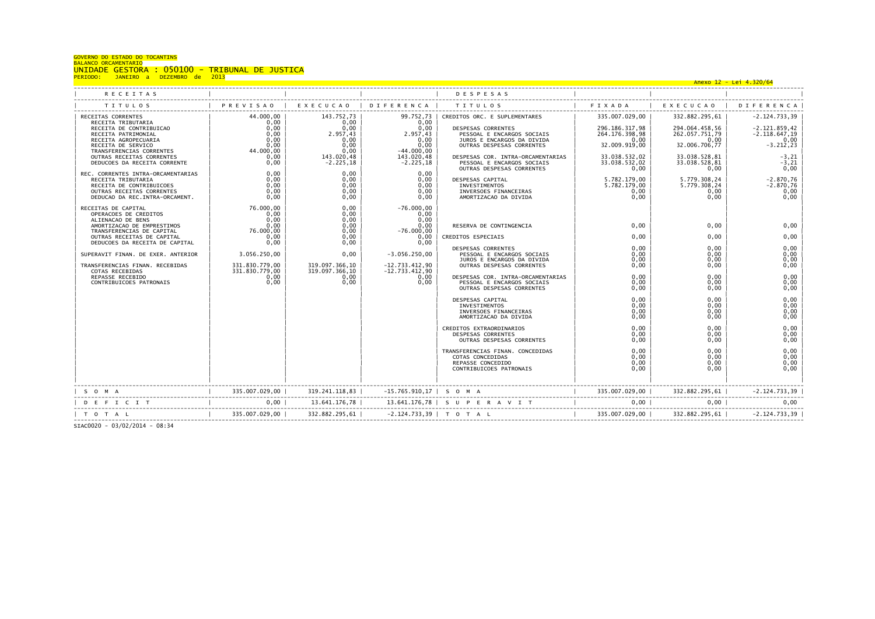| UNIDADE GESTORA : 050100 - TRIBUNAL DE JUSTICA<br>PERIODO: JANEIRO a DEZEMBRO de 2013<br>99.752.73   CREDITOS ORC. E SUPLEMENTARES   335.007.029.00  <br>332.882.295,61  <br>$-2.124.733.39$<br>0.00<br>0.00<br>$0,00$ 1<br>0.00<br>296.186.317.98<br>294.064.458.56  <br>$-2.121.859.42$<br>RECEITA DE CONTRIBUICAO<br>DESPESAS CORRENTES<br>0,00<br>2.957,43<br>2.957,43<br>$-2.118.647,19$<br>264.176.398,98<br>262.057.751.79<br>RECEITA PATRIMONIAL<br>PESSOAL E ENCARGOS SOCIAIS<br>RECEITA AGROPECUARIA<br>0.00<br>0,00<br>0.00<br>JUROS E ENCARGOS DA DIVIDA<br>0.00<br>0,00<br>0,00<br>32.009.919,00<br>32.006.706,77<br>RECEITA DE SERVICO<br>0.00<br>0,00<br>OUTRAS DESPESAS CORRENTES<br>$-3.212, 23$<br>0,00<br>44.000,00<br>$-44.000.00$<br>0.00<br>TRANSFERENCIAS CORRENTES<br>0,00<br>143.020,48<br>143.020.48<br>DESPESAS COR. INTRA-ORCAMENTARIAS<br>33.038.532.02<br>33.038.528.81<br>$-3, 21$<br>OUTRAS RECEITAS CORRENTES<br>0,00<br>$-2.225, 18$<br>$-2.225, 18$<br>PESSOAL E ENCARGOS SOCIAIS<br>33.038.532,02<br>33.038.528.81<br>$-3, 21$<br>DEDUCOES DA RECEITA CORRENTE<br>OUTRAS DESPESAS CORRENTES<br>0.00<br>0,00<br>0,00<br>0.00<br>REC. CORRENTES INTRA-ORCAMENTARIAS<br>0.00<br>0,00<br>5.782.179,00<br>5.779.308.24<br>$-2.870,76$<br>0.00<br>0.00<br>0.00<br>RECEITA TRIBUTARIA<br>DESPESAS CAPITAL<br>5.782.179.00<br>5.779.308.24<br>0.00<br>0.00<br>0.00<br>$-2.870.76$<br>RECEITA DE CONTRIBUICOES<br><b>INVESTIMENTOS</b><br>0.00<br>0.00<br>0.00<br>INVERSOES FINANCEIRAS<br>0.00<br>0.00<br>0.00<br>OUTRAS RECEITAS CORRENTES<br>0.00<br>0,00<br>AMORTIZACAO DA DIVIDA<br>0.00<br>0,00<br>0.00<br>DEDUCAO DA REC.INTRA-ORCAMENT.<br>0.00<br>76.000.00<br>0.00<br>$-76.000.00$<br>RECEITAS DE CAPITAL<br>0.00<br>0.00<br>0.00<br>OPERACOES DE CREDITOS<br>0.00<br>0.00<br>0.00<br>ALIENACAO DE BENS<br>0,00<br>0,00<br>0,00<br>0,00<br>RESERVA DE CONTINGENCIA<br>0,00<br>0,00<br>AMORTIZACAO DE EMPRESTIMOS<br>76.000,00<br>TRANSFERENCIAS DE CAPITAL<br>0,00<br>$-76.000,00$<br>0,00<br>0.00<br>0,00<br>0.00<br>0.00<br>0,00<br>OUTRAS RECEITAS DE CAPITAL<br>CREDITOS ESPECIAIS<br>0,00<br>0,00<br>DEDUCOES DA RECEITA DE CAPITAL<br>0,00<br>0,00<br>DESPESAS CORRENTES<br>0.00<br>0,00<br>3.056.250.00<br>$-3.056.250.00$<br>0,00<br>0.00<br>0.00<br>0.00<br>SUPERAVIT FINAN, DE EXER, ANTERIOR<br>PESSOAL E ENCARGOS SOCIAIS<br>0.00<br>0,00<br>JUROS E ENCARGOS DA DIVIDA<br>0.00<br>331.830.779,00<br>319.097.366.10<br>$-12.733.412.90$<br>OUTRAS DESPESAS CORRENTES<br>TRANSFERENCIAS FINAN. RECEBIDAS<br>0.00<br>0,00<br>0,00<br>331.830.779.00<br>319.097.366.10<br>$-12.733.412,90$<br>COTAS RECEBIDAS<br>0,00<br>0,00<br>0.00<br>0.00<br>0,00<br>REPASSE RECEBIDO<br>0,00<br>DESPESAS COR. INTRA-ORCAMENTARIAS<br>0,00<br>0,00<br>0.00<br>0.00<br>0,00<br>CONTRIBUICOES PATRONAIS<br>PESSOAL E ENCARGOS SOCIAIS<br>0.00<br>OUTRAS DESPESAS CORRENTES<br>0.00<br>0.00<br>0.00<br>0,00<br>0.00<br>0.00<br>DESPESAS CAPITAL<br>0,00<br>INVESTIMENTOS<br>0,00<br>0.00<br>0,00<br>INVERSOES FINANCEIRAS<br>0.00<br>0.00<br>0.00<br>0.00<br>0.00<br>AMORTIZACAO DA DIVIDA<br>0.00<br>0,00<br>CREDITOS EXTRAORDINARIOS<br>0.00<br>0.00<br>0,00<br>DESPESAS CORRENTES<br>0.00<br>0,00<br>OUTRAS DESPESAS CORRENTES<br>0.00<br>0.00<br>0.00<br>0,00<br>TRANSFERENCIAS FINAN. CONCEDIDAS<br>0.00<br>COTAS CONCEDIDAS<br>0.00<br>0.00<br>0,00<br>0,00<br>0.00<br>0.00<br>REPASSE CONCEDIDO<br>0.00<br>0.00<br>0.00<br>CONTRIBUICOES PATRONAIS | <b>GOVERNO DO ESTADO DO TOCANTINS</b><br><b>BALANCO ORCAMENTARIO</b> |  |  |  |  |
|------------------------------------------------------------------------------------------------------------------------------------------------------------------------------------------------------------------------------------------------------------------------------------------------------------------------------------------------------------------------------------------------------------------------------------------------------------------------------------------------------------------------------------------------------------------------------------------------------------------------------------------------------------------------------------------------------------------------------------------------------------------------------------------------------------------------------------------------------------------------------------------------------------------------------------------------------------------------------------------------------------------------------------------------------------------------------------------------------------------------------------------------------------------------------------------------------------------------------------------------------------------------------------------------------------------------------------------------------------------------------------------------------------------------------------------------------------------------------------------------------------------------------------------------------------------------------------------------------------------------------------------------------------------------------------------------------------------------------------------------------------------------------------------------------------------------------------------------------------------------------------------------------------------------------------------------------------------------------------------------------------------------------------------------------------------------------------------------------------------------------------------------------------------------------------------------------------------------------------------------------------------------------------------------------------------------------------------------------------------------------------------------------------------------------------------------------------------------------------------------------------------------------------------------------------------------------------------------------------------------------------------------------------------------------------------------------------------------------------------------------------------------------------------------------------------------------------------------------------------------------------------------------------------------------------------------------------------------------------------------------------------------------------------------------------------------------------------------------------------------------------------------------------------------------------------------------------------------------------------------------------------------------------------------------------------------------------------------------------------------------------------------------------------------------------------------------------------------------------------|----------------------------------------------------------------------|--|--|--|--|
|                                                                                                                                                                                                                                                                                                                                                                                                                                                                                                                                                                                                                                                                                                                                                                                                                                                                                                                                                                                                                                                                                                                                                                                                                                                                                                                                                                                                                                                                                                                                                                                                                                                                                                                                                                                                                                                                                                                                                                                                                                                                                                                                                                                                                                                                                                                                                                                                                                                                                                                                                                                                                                                                                                                                                                                                                                                                                                                                                                                                                                                                                                                                                                                                                                                                                                                                                                                                                                                                                          |                                                                      |  |  |  |  |
|                                                                                                                                                                                                                                                                                                                                                                                                                                                                                                                                                                                                                                                                                                                                                                                                                                                                                                                                                                                                                                                                                                                                                                                                                                                                                                                                                                                                                                                                                                                                                                                                                                                                                                                                                                                                                                                                                                                                                                                                                                                                                                                                                                                                                                                                                                                                                                                                                                                                                                                                                                                                                                                                                                                                                                                                                                                                                                                                                                                                                                                                                                                                                                                                                                                                                                                                                                                                                                                                                          |                                                                      |  |  |  |  |
|                                                                                                                                                                                                                                                                                                                                                                                                                                                                                                                                                                                                                                                                                                                                                                                                                                                                                                                                                                                                                                                                                                                                                                                                                                                                                                                                                                                                                                                                                                                                                                                                                                                                                                                                                                                                                                                                                                                                                                                                                                                                                                                                                                                                                                                                                                                                                                                                                                                                                                                                                                                                                                                                                                                                                                                                                                                                                                                                                                                                                                                                                                                                                                                                                                                                                                                                                                                                                                                                                          |                                                                      |  |  |  |  |
|                                                                                                                                                                                                                                                                                                                                                                                                                                                                                                                                                                                                                                                                                                                                                                                                                                                                                                                                                                                                                                                                                                                                                                                                                                                                                                                                                                                                                                                                                                                                                                                                                                                                                                                                                                                                                                                                                                                                                                                                                                                                                                                                                                                                                                                                                                                                                                                                                                                                                                                                                                                                                                                                                                                                                                                                                                                                                                                                                                                                                                                                                                                                                                                                                                                                                                                                                                                                                                                                                          |                                                                      |  |  |  |  |
|                                                                                                                                                                                                                                                                                                                                                                                                                                                                                                                                                                                                                                                                                                                                                                                                                                                                                                                                                                                                                                                                                                                                                                                                                                                                                                                                                                                                                                                                                                                                                                                                                                                                                                                                                                                                                                                                                                                                                                                                                                                                                                                                                                                                                                                                                                                                                                                                                                                                                                                                                                                                                                                                                                                                                                                                                                                                                                                                                                                                                                                                                                                                                                                                                                                                                                                                                                                                                                                                                          |                                                                      |  |  |  |  |
|                                                                                                                                                                                                                                                                                                                                                                                                                                                                                                                                                                                                                                                                                                                                                                                                                                                                                                                                                                                                                                                                                                                                                                                                                                                                                                                                                                                                                                                                                                                                                                                                                                                                                                                                                                                                                                                                                                                                                                                                                                                                                                                                                                                                                                                                                                                                                                                                                                                                                                                                                                                                                                                                                                                                                                                                                                                                                                                                                                                                                                                                                                                                                                                                                                                                                                                                                                                                                                                                                          |                                                                      |  |  |  |  |
|                                                                                                                                                                                                                                                                                                                                                                                                                                                                                                                                                                                                                                                                                                                                                                                                                                                                                                                                                                                                                                                                                                                                                                                                                                                                                                                                                                                                                                                                                                                                                                                                                                                                                                                                                                                                                                                                                                                                                                                                                                                                                                                                                                                                                                                                                                                                                                                                                                                                                                                                                                                                                                                                                                                                                                                                                                                                                                                                                                                                                                                                                                                                                                                                                                                                                                                                                                                                                                                                                          |                                                                      |  |  |  |  |
|                                                                                                                                                                                                                                                                                                                                                                                                                                                                                                                                                                                                                                                                                                                                                                                                                                                                                                                                                                                                                                                                                                                                                                                                                                                                                                                                                                                                                                                                                                                                                                                                                                                                                                                                                                                                                                                                                                                                                                                                                                                                                                                                                                                                                                                                                                                                                                                                                                                                                                                                                                                                                                                                                                                                                                                                                                                                                                                                                                                                                                                                                                                                                                                                                                                                                                                                                                                                                                                                                          |                                                                      |  |  |  |  |
|                                                                                                                                                                                                                                                                                                                                                                                                                                                                                                                                                                                                                                                                                                                                                                                                                                                                                                                                                                                                                                                                                                                                                                                                                                                                                                                                                                                                                                                                                                                                                                                                                                                                                                                                                                                                                                                                                                                                                                                                                                                                                                                                                                                                                                                                                                                                                                                                                                                                                                                                                                                                                                                                                                                                                                                                                                                                                                                                                                                                                                                                                                                                                                                                                                                                                                                                                                                                                                                                                          |                                                                      |  |  |  |  |

SIAC0020 - 03/02/2014 - 08:34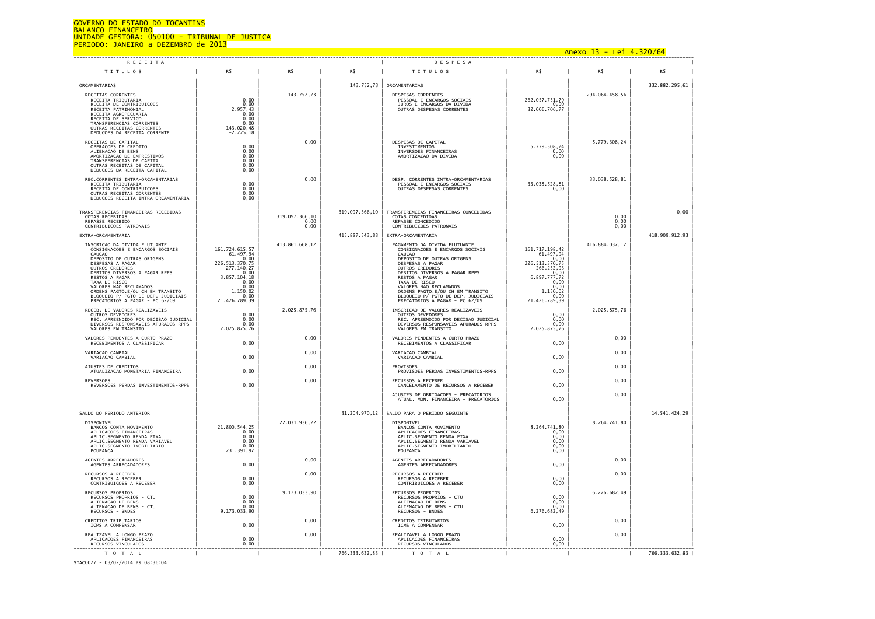# GOVERNO DO ESTADO DO TOCANTINS

BALANCO FINANCEIRO<br>UNIDADE GESTORA: 050100 - TRIBUNAL DE JU<mark>STICA</mark><br>PERIODO: JANEIRO a DEZEMBRO de 2013

# Anexo 13 - Lei 4.320/64

| <b>RECEITA</b>                                                                                                                                                                                                                                                                                                                                                   |                                                                                                                                                         |                                |                | DESPESA                                                                                                                                                                                                                                                                                                                                                          |                                                                                                                                                  |                          |                |
|------------------------------------------------------------------------------------------------------------------------------------------------------------------------------------------------------------------------------------------------------------------------------------------------------------------------------------------------------------------|---------------------------------------------------------------------------------------------------------------------------------------------------------|--------------------------------|----------------|------------------------------------------------------------------------------------------------------------------------------------------------------------------------------------------------------------------------------------------------------------------------------------------------------------------------------------------------------------------|--------------------------------------------------------------------------------------------------------------------------------------------------|--------------------------|----------------|
| <b>TITULOS</b>                                                                                                                                                                                                                                                                                                                                                   | R\$                                                                                                                                                     | R\$                            | R\$            | <b>TITULOS</b>                                                                                                                                                                                                                                                                                                                                                   | R\$                                                                                                                                              | R\$                      | R\$            |
| ORCAMENTARIAS                                                                                                                                                                                                                                                                                                                                                    |                                                                                                                                                         |                                | 143.752,73     | ORCAMENTARIAS                                                                                                                                                                                                                                                                                                                                                    |                                                                                                                                                  |                          | 332.882.295,61 |
| RECEITAS CORRENTES<br>RECEITA TRIBUTARIA<br>RECEITA DE CONTRIBUICOES<br>RECEITA PATRIMONIAL<br>RECEITA AGROPECUARIA<br>RECEITA DE SERVICO<br>TRANSFERENCIAS CORRENTES<br>OUTRAS RECEITAS CORRENTES<br>DEDUCOES DA RECEITA CORRENTE                                                                                                                               | $0,00$<br>$0,00$<br>2.957,43<br>0,00<br>0,00<br>143.020,48<br>-2.225,18                                                                                 | 143.752,73                     |                | DESPESAS CORRENTES<br>PESSOAL E ENCARGOS SOCIAIS<br>JUROS E ENCARGOS DA DIVIDA<br>OUTRAS DESPESAS CORRENTES                                                                                                                                                                                                                                                      | 262.057.751,79<br>0,00<br>32.006.706,77                                                                                                          | 294.064.458,56           |                |
| RECEITAS DE CAPITAL<br>OPERACOES DE CREDITO<br>ALIENACAO DE BENS<br>AMORTIZAÇÃO DE EMPRESTIMOS<br>TRANSFERENCIAS DE CAPITAL<br>OUTRAS RECEITAS DE CAPITAL<br>DEDUCOES DA RECEITA CAPITAL                                                                                                                                                                         | $0,00$<br>$0,00$<br>0,00<br>0,00<br>0,00                                                                                                                | 0,00                           |                | DESPESAS DE CAPITAL<br>INVESTIMENTOS<br>INVERSOES FINANCEIRAS<br>AMORTIZACAO DA DIVIDA                                                                                                                                                                                                                                                                           | 5.779.308,24<br>0,00<br>0,00                                                                                                                     | 5.779.308,24             |                |
| REC.CORRENTES INTRA-ORCAMENTARIAS<br>RECEITA TRIBUTARIA<br>RECEITA DE CONTRIBUICOES<br>OUTRAS RECEITAS CORRENTES<br>DEDUCOES RECEITA INTRA-ORCAMENTARIA                                                                                                                                                                                                          | 0,00<br>0,00<br>0,00<br>0.00                                                                                                                            | 0,00                           |                | DESP. CORRENTES INTRA-ORCAMENTARIAS<br>PESSOAL E ENCARGOS SOCIAIS<br>OUTRAS DESPESAS CORRENTES                                                                                                                                                                                                                                                                   | 33.038.528,81<br>0,00                                                                                                                            | 33.038.528.81            |                |
| TRANSFERENCIAS FINANCEIRAS RECEBIDAS<br>COTAS RECEBIDAS<br>REPASSE RECEBIDO<br>CONTRIBUICOES PATRONAIS                                                                                                                                                                                                                                                           |                                                                                                                                                         | 319.097.366,10<br>0.00<br>0,00 | 319.097.366,10 | TRANSFERENCIAS FINANCEIRAS CONCEDIDAS<br>COTAS CONCEDIDAS<br>REPASSE CONCEDIDO<br>CONTRIBUICOES PATRONAIS                                                                                                                                                                                                                                                        |                                                                                                                                                  | $0,00$<br>$0,00$<br>0,00 | 0,00           |
| EXTRA-ORCAMENTARIA                                                                                                                                                                                                                                                                                                                                               |                                                                                                                                                         |                                | 415.887.543,88 | EXTRA-ORCAMENTARIA                                                                                                                                                                                                                                                                                                                                               |                                                                                                                                                  |                          | 418.909.912,93 |
| INSCRICAO DA DIVIDA FLUTUANTE<br>CONSIGNACOES E ENCARGOS SOCIAIS<br><b>CAUCAO</b><br>DEPOSITO DE OUTRAS ORIGENS<br>DESPESAS A PAGAR<br>OUTROS CREDORES<br>DEBITOS DIVERSOS A PAGAR RPPS<br>RESTOS A PAGAR<br>TAXA DE RISCO<br>VALORES NAO RECLAMADOS<br>ORDENS PAGTO.E/OU CH EM TRANSITO<br>BLOQUEIO P/ PGTO DE DEP. JUDICIAIS<br>PRECATORIOS A PAGAR - EC 62/09 | 161.724.615,57<br>61.497,94<br>0,00<br>226.513.370,75<br>277.140,27<br>0,00<br>3.857.104,18<br>$\frac{0,00}{0,00}$<br>1.150,02<br>0.00<br>21.426.789,39 | 413.861.668,12                 |                | PAGAMENTO DA DIVIDA FLUTUANTE<br>CONSIGNACOES E ENCARGOS SOCIAIS<br><b>CAUCAO</b><br>DEPOSITO DE OUTRAS ORIGENS<br>DESPESAS A PAGAR<br>OUTROS CREDORES<br>DEBITOS DIVERSOS A PAGAR RPPS<br>RESTOS A PAGAR<br>TAXA DE RTSCO<br>VALORES NAO RECLAMADOS<br>ORDENS PAGTO.E/OU CH EM TRANSITO<br>BLOQUEIO P/ PGTO DE DEP. JUDICIAIS<br>PRECATORIOS A PAGAR - EC 62/09 | 161.717.198,42<br>61.497,94<br>0,00<br>226.513.370,75<br>266.252,93<br>0,00<br>6.897.777,72<br>0.00<br>0.00<br>1.150,02<br>0,00<br>21.426.789,39 | 416.884.037,17           |                |
| RECEB. DE VALORES REALIZAVEIS<br>OUTROS DEVEDORES<br>REC. APREENDIDO POR DECISAO JUDICIAL<br>DIVERSOS RESPONSAVEIS-APURADOS-RPPS<br>VALORES EM TRANSITO                                                                                                                                                                                                          | 0,00<br>0,00<br>0.00<br>2.025.875,76                                                                                                                    | 2.025.875,76                   |                | INSCRICAO DE VALORES REALIZAVEIS<br>OUTROS DEVEDORES<br><b>REC. APREENDIDO POR DECISAO JUDICIAL<br/>DIVERSOS RESPONSAVEIS-APURADOS-RPPS<br/>VALORES EM TRANSITO</b>                                                                                                                                                                                              | 0,00<br>0,00<br>0.00<br>2.025.875,76                                                                                                             | 2.025.875,76             |                |
| VALORES PENDENTES A CURTO PRAZO<br>RECEBIMENTOS A CLASSIFICAR                                                                                                                                                                                                                                                                                                    | 0,00                                                                                                                                                    | 0,00                           |                | VALORES PENDENTES A CURTO PRAZO<br>RECEBIMENTOS A CLASSIFICAR                                                                                                                                                                                                                                                                                                    | 0,00                                                                                                                                             | 0,00                     |                |
| VARIACAO CAMBIAL<br>VARIACAO CAMBIAL                                                                                                                                                                                                                                                                                                                             | 0,00                                                                                                                                                    | 0,00                           |                | VARIACAO CAMBIAL<br>VARIACAO CAMBIAL                                                                                                                                                                                                                                                                                                                             | 0,00                                                                                                                                             | 0,00                     |                |
| AJUSTES DE CREDITOS<br>ATUALIZACAO MONETARIA FINANCEIRA                                                                                                                                                                                                                                                                                                          | 0,00                                                                                                                                                    | 0,00                           |                | <b>PROVTSOFS</b><br>PROVISOES PERDAS INVESTIMENTOS-RPPS                                                                                                                                                                                                                                                                                                          | 0,00                                                                                                                                             | 0,00                     |                |
| <b>REVERSOES</b><br>REVERSOES PERDAS INVESTIMENTOS-RPPS                                                                                                                                                                                                                                                                                                          | 0,00                                                                                                                                                    | 0,00                           |                | RECURSOS A RECEBER<br>CANCELAMENTO DE RECURSOS A RECEBER                                                                                                                                                                                                                                                                                                         | 0,00                                                                                                                                             | 0,00                     |                |
|                                                                                                                                                                                                                                                                                                                                                                  |                                                                                                                                                         |                                |                | AJUSTES DE OBRIGACOES - PRECATORIOS<br>ATUAL. MON. FINANCEIRA - PRECATORIOS                                                                                                                                                                                                                                                                                      | 0,00                                                                                                                                             | 0,00                     |                |
| SALDO DO PERIODO ANTERIOR<br>DISPONIVEL<br>BANCOS CONTA MOVIMENTO<br>APLICACOES FINANCEIRAS<br>APLIC.SEGMENTO RENDA FIXA<br>APLIC.SEGMENTO RENDA VARIAVEL                                                                                                                                                                                                        | 21.800.544,25<br>0.00<br>0,00<br>0,00                                                                                                                   | 22.031.936,22                  | 31.204.970,12  | SALDO PARA O PERIODO SEGUINTE<br>DISPONIVEL<br>BANCOS CONTA MOVIMENTO<br>APLICACOES FINANCEIRAS<br>APLIC.SEGMENTO RENDA FIXA<br>APLIC.SEGMENTO RENDA VARIAVEL                                                                                                                                                                                                    | 8.264.741,80<br>0,00<br>0,00<br>0,00                                                                                                             | 8.264.741,80             | 14.541.424,29  |
| APLIC.SEGMENTO IMOBILIARIO<br>POUPANCA                                                                                                                                                                                                                                                                                                                           | 0.00<br>231.391,97                                                                                                                                      |                                |                | APLIC.SEGMENTO IMOBILIARIO<br>POUPANCA                                                                                                                                                                                                                                                                                                                           | 0.00<br>0,00                                                                                                                                     |                          |                |
| AGENTES ARRECADADORES<br>AGENTES ARRECADADORES                                                                                                                                                                                                                                                                                                                   | 0,00                                                                                                                                                    | 0,00                           |                | AGENTES ARRECADADORES<br>AGENTES ARRECADADORES                                                                                                                                                                                                                                                                                                                   | 0,00                                                                                                                                             | 0,00                     |                |
| RECURSOS A RECEBER<br>RECURSOS A RECEBER<br>CONTRIBUICOES A RECEBER                                                                                                                                                                                                                                                                                              | 0,00<br>0,00                                                                                                                                            | 0,00                           |                | RECURSOS A RECEBER<br>RECURSOS A RECEBER<br>CONTRIBUICOES A RECEBER                                                                                                                                                                                                                                                                                              | 0,00<br>0,00                                                                                                                                     | 0,00                     |                |
| RECURSOS PROPRIOS<br>RECURSOS PROPRIOS - CTU<br>ALIENACAO DE BENS<br>ALIENACAO DE BENS - CTU<br>RECURSOS - BNDES                                                                                                                                                                                                                                                 | 0,00<br>0,00<br>0,00<br>9.173.033,90                                                                                                                    | 9.173.033,90                   |                | RECURSOS PROPRIOS<br>RECURSOS PROPRIOS - CTU<br>ALIENACAO DE BENS<br>ALIENACAO DE BENS<br>- CTU<br>RECURSOS - BNDES                                                                                                                                                                                                                                              | 0,00<br>0,00<br>0,00<br>6.276.682,49                                                                                                             | 6.276.682,49             |                |
| CREDITOS TRIBUTARIOS<br>ICMS A COMPENSAR                                                                                                                                                                                                                                                                                                                         | 0,00                                                                                                                                                    | 0,00                           |                | CREDITOS TRIBUTARIOS<br>ICMS A COMPENSAR                                                                                                                                                                                                                                                                                                                         | 0,00                                                                                                                                             | 0,00                     |                |
| REALIZAVEL A LONGO PRAZO<br>APLICACOES FINANCEIRAS<br>RECURSOS VINCULADOS                                                                                                                                                                                                                                                                                        | 0,00<br>0.00                                                                                                                                            | 0,00                           |                | REALIZAVEL A LONGO PRAZO<br>APLICACOES FINANCEIRAS<br>RECURSOS VINCULADOS                                                                                                                                                                                                                                                                                        | 0,00<br>0.00                                                                                                                                     | 0,00                     |                |
| T O T A L                                                                                                                                                                                                                                                                                                                                                        |                                                                                                                                                         |                                | 766.333.632,83 | $\begin{array}{cccccccccc} T & 0 & T & A & L \end{array}$                                                                                                                                                                                                                                                                                                        |                                                                                                                                                  |                          | 766.333.632,83 |

SIAC0027 - 03/02/2014 as 08:36:04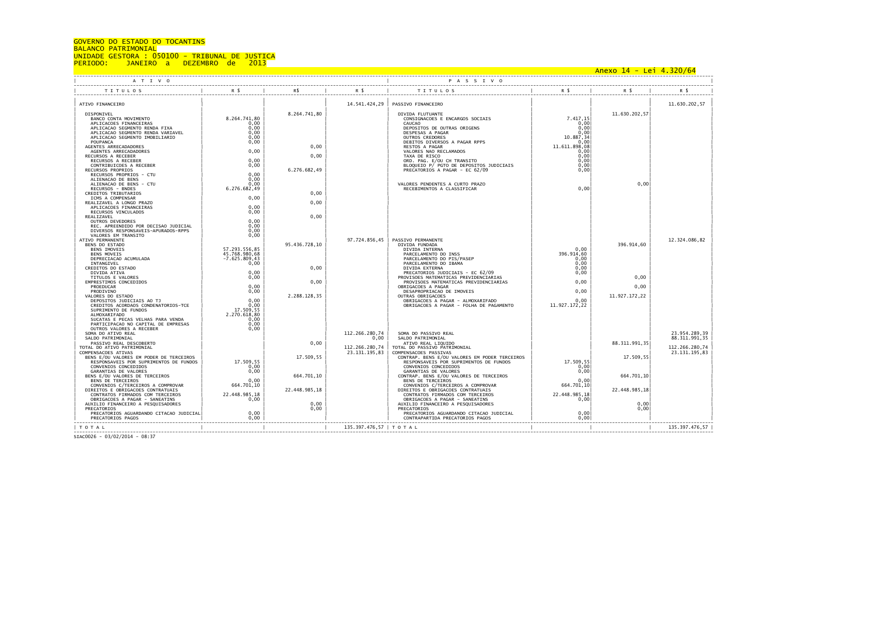## GOVERNO DO ESTADO DO TOCANTINS

## BALANCO PATRIMONIAL

UNIDADE GESTORA : 050100 - TRIBUNAL DE JUSTICA<br>PERIODO: 1ANEIRO a DEZEMBRO de 2013 PERIODO DO DEZEMBRO de

 Anexo 14 - Lei 4.320/64 ----------------------------------------------------------------------------------------------------------------------------------------------------------------------------------------------------------------------------------- | A T I V O | P A S S I V O | ----------------------------------------------------------------------------------------------------------------------------------------------------------------------------------------------------------------------------------- | TITULOS | R\$ | R\$ | R\$ | TITULOS | R\$ | R\$ | R\$ | ----------------------------------------------------------------------------------------------------------------------------------------------------------------------------------------------------------------------------------- | | | | | | | | | | ATIVO FINANCEIRO | | | 14.541.424,29 | PASSIVO FINANCEIRO | | | 11.630.202,57 | | | | | | | | | | | DISPONIVEL | | 8.264.741,80 | | DIVIDA FLUTUANTE | | 11.630.202,57| | | BANCO CONTA MOVIMENTO | 8.264.741,80 | | | CONSIGNACOES E ENCARGOS SOCIAIS | 7.417,15| | | | APLICACOES FINANCEIRAS | 0,00 | | | CAUCAO | 0,00| | | | APLICACAO SEGMENTO RENDA FIXA | 0,00 | | | DEPOSITOS DE OUTRAS ORIGENS | 0,00| | | | APLICACAO SEGMENTO RENDA VARIAVEL | 0,00 | | | DESPESAS A PAGAR | 0,00| | | | APLICACAO SEGMENTO IMOBILIARIO | 0,00 | | | OUTROS CREDORES | 10.887,34| | | | POUPANCA | 0,00 | | | DEBITOS DIVERSOS A PAGAR RPPS | 0,00| | | | AGENTES ARRECADADORES | | 0,00 | | RESTOS A PAGAR | 11.611.898,08| | | | AGENTES ARRECADADORES | 0,00 | | | VALORES NAO RECLAMADOS | 0,00| | | | RECURSOS A RECEBER | | 0,00 | | TAXA DE RISCO | 0,00| | | | RECURSOS A RECEBER | 0,00 | | | ORD. PAG. E/OU CH TRANSITO | 0,00| | | | CONTRIBUICOES A RECEBER | 0,00 | | | BLOQUEIO P/ PGTO DE DEPOSITOS JUDICIAIS | 0,00| | | | RECURSOS PROPRIOS | | 6.276.682,49 | | PRECATORIOS A PAGAR - EC 62/09 | 0,00| | | | RECURSOS PROPRIOS - CTU | 0,00 | | | | | | | | ALIENACAO DE BENS | 0,00 | | | | | | | | ALIENACAO DE BENS - CTU | 0,00 | | | VALORES PENDENTES A CURTO PRAZO | | 0,00| | | RECURSOS – BNDES | 6.276.682,49 | | | | | | RECEBIMENTOS A CLASSIFICAR | | 0,00| | | | | | | | | | | | | | | | CREDITOS TRIBUTARIOS | | 0,00 | | | | | | | ICMS A COMPENSAR | 0,00 | | | | | | | | REALIZAVEL A LONGO PRAZO | | 0,00 | | | | | | | APLICACOES FINANCEIRAS | 0,00 | | | | | | | | RECURSOS VINCULADOS | 0,00 | | | | | | |  $\parallel$  realizavel  $\parallel$  , and  $\parallel$  , and  $\parallel$  , and  $\parallel$  , and  $\parallel$  , and  $\parallel$  , and  $\parallel$  , and  $\parallel$  , and  $\parallel$  , and  $\parallel$  , and  $\parallel$  , and  $\parallel$  , and  $\parallel$  , and  $\parallel$  , and  $\parallel$  , and  $\parallel$  , and  $\parallel$  , and  $\parallel$  , and  $\parallel$  , NEULAS VINCULADOS<br>
REALIZAVEL (DUTROS DEVEDORES | 0,00<br>
OUTROS DEVEDORES | 0,00<br>
DIVERSOS RESPONSAVEITS-APURADOS-RPPS | 0,00<br>
DIVERSOS RESPONSAVEITS-APURADOS-RPPS | 0,00<br>
0,00<br>
0,00 | 0,00 | 0,00 | 0,00 | 0,00 | 0,00 | 0,0 | REC. APREENDIDO POR DECISAO JUDICIAL | 0,00 | | | | | | | | DIVERSOS RESPONSAVEIS-APURADOS-RPPS | 0,00 | | | | | | | | VALORES EM TRANSITO | 0,00 | | | | | | | | ATIVO PERMANENTE | | | | | | 97.724.856,45 | PASSIVO PERMANENTE | | | | | | | 12.324.086,82 | | BENS DO ESTADO | | 95.436.728,10 | | DIVIDA FUNDADA | | 396.914,60 | | | BENS IMOVEIS | 57.293.556,85 | | | DIVIDA INTERNA | 0,00 | | | | BENS MOVEIS | 45.768.980,68 | | | PARCELAMENTO DO INSS | 396.914,60 | | | | DEPRECIACAO ACUMULADA | -7.625.809,43 | | | PARCELAMENTO DO PIS/PASEP | 0,00 | | | | INTANGIVEL | 0,00 | | | PARCELAMENTO DO IBAMA | 0,00 | | | | CREDITOS DO ESTADO | | 0,00 | | DIVIDA EXTERNA | 0,00 | | | | DIVIDA TITVA TURES = 0,00 | 0,00 | 0,00 | 0,00 | PRECATORIDOS DUDICIAIS – EC 62/09 | 0,00 | 0,00 | 0,00 | 0,00<br>| EMPRESTIMOS CONCEDIDOS = 0,00 | 0,00 | 0,00 | 0,00 | 0,00 | PROVISOES MATEMATICAS PREVIDENCIARIAS | 0,00 | VALORES DO ESTADO | | 2.288.128,35 | | OUTRAS OBRIGACOES | | 11.927.172,22 | | | DEPOSITOS JUDICIAIS AO TJ | 0,00 | | | OBRIGACOES A PAGAR - ALMOXARIFADO | 0,00 | | | | CREDITOS ACORDAOS CONDENATORIOS-TCE | 0,00 | | | OBRIGACOES A PAGAR - FOLHA DE PAGAMENTO | 11.927.172,22 | | | ALORES DO ESTADO<br>| DEPOSITOS JUDICITAIS AO TJ<br>| CREDITOS ACORDAOS CONDENATORIOS-TCE<br>| SUPRIMENTO DE FUNDOS<br>| ALMOXARIFADO | 2.270.618.80 | ALMOXARIFADO | 2.270.618,80 | | | | | | | | SUCATAS E PECAS VELHAS PARA VENDA | 0,00 | | | | | | | | PARTICIPACAO NO CAPITAL DE EMPRESAS | 0,00 | | | | | | | | OUTROS VALORES A RECEBER | 0,00 | | | | | | | | SOMA DO ATIVO REAL | | | 112.266.280,74 | SOMA DO PASSIVO REAL | | | 23.954.289,39 | | SALDO PATRIMONIAL | | | 0,00 | SALDO PATRIMONIAL | | | 88.311.991,35 | | PASSIVO REAL DESCOBERTO | | 0,00 | | ATIVO REAL LIQUIDO | | 88.311.991,35| | | TOTAL DO ATTURN TRINONIAL | 112.266.280,74 | 112.266.280,74 | 112.266.280,74 | 112.266.280,74 | 112.266.280,74 | 112.266.280,74 | 112.266.280,74 | 112.266.280,74 | 112.266.280,74 | 112.266.280,74 | 112.266.280,74 | 112.3 | CONVENIOS CONCEDIDOS | 0,00 | | 0,00 | | CONVENIOS CONCEDIDOS | 0,00 | | | | | GARANTIAS DE VALORES | 0,00 | | | GARANTIAS DE VALORES | 0,00| | | | BENS E/OU VALORES DE TERCEIROS | | 664.701,10 | | CONTRAP. BENS E/OU VALORES DE TERCEIROS | | 664.701,10| | | BENS DE TERCEIROS | 0,00 | | | BENS DE TERCEIROS | 0,00| | | | CONVENIOS C/TERCEIROS A COMPROVAR | 664.701,10 | | | CONVENIOS C/TERCEIROS A COMPROVAR | 664.701,10| | | | DIREITOS E OBRIGACOES CONTRATUAIS | | 22.448.985,18 | | DIREITOS E OBRIGACOES CONTRATUAIS | | 22.448.985,18| | | CONTRATOS FIRMADOS COM TERCEIROS | 22.448.985,18 | | | CONTRATOS FIRMADOS COM TERCEIROS | 22.448.985,18| | | | OBRIGACOES A PAGAR - SANEATINS | 0,00 | | | OBRIGACOES A PAGAR - SANEATINS | 0,00| | | | AUXILIO FINANCEIRO A PESQUISADORES | | 0,00 | | AUXILIO FINANCEIRO A PESQUISADORES | | 0,00| | | PRECATORIOS | | 0,00 | | PRECATORIOS | | 0,00| | | PRECATORIOS AGUARDANDO CITACAO JUDICIAL| 0,00 | | | PRECATORIOS AGUARDANDO CITACAO JUDICIAL | 0,00| | | | PRECATORIOS PAGOS | | 0,00 | | | | CONTRAPARTIDA PRECATORIOS PAGOS | 0,00 | | | | ----------------------------------------------------------------------------------------------------------------------------------------------------------------------------------------------------------------------------------- | T O T A L | | | 135.397.476,57 | T O T A L | | | 135.397.476,57 |

----------------------------------------------------------------------------------------------------------------------------------------------------------------------------------------------------------------------------------- SIAC0026 - 03/02/2014 - 08:37